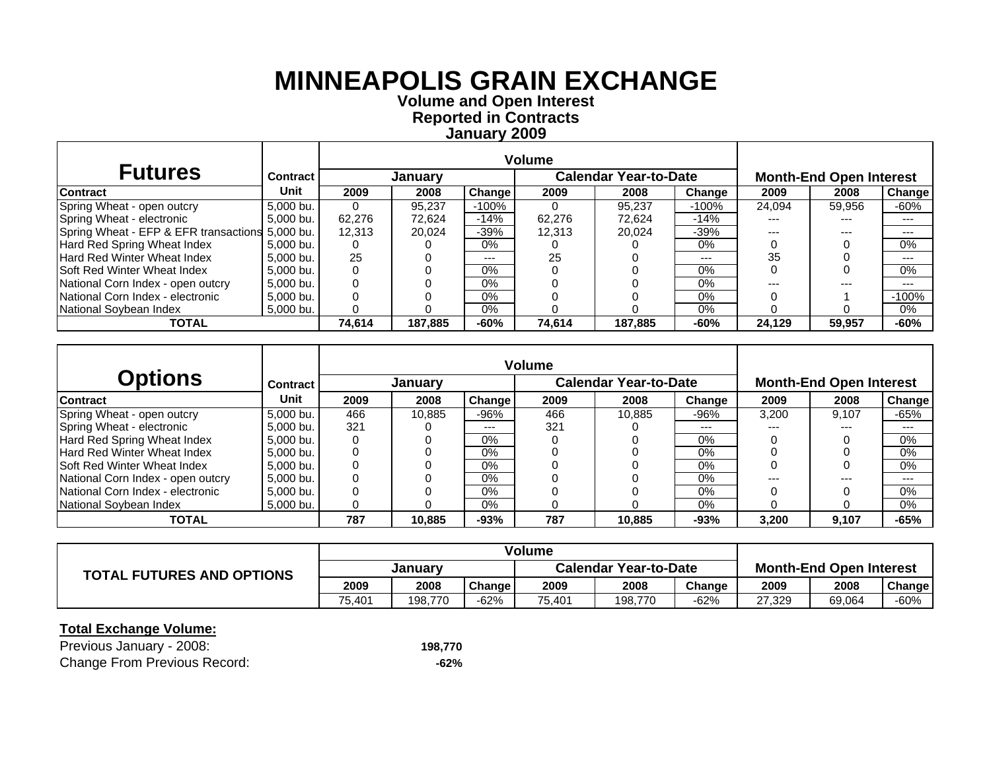**Volume and O pen Interest Re ported in Contracts Januar y 200 9**

| <b>Futures</b>                                  | <b>Contract</b> |        | January |         |        | <b>Calendar Year-to-Date</b> |         |        | <b>Month-End Open Interest</b> |               |
|-------------------------------------------------|-----------------|--------|---------|---------|--------|------------------------------|---------|--------|--------------------------------|---------------|
| <b>Contract</b>                                 | Unit            | 2009   | 2008    | Change  | 2009   | 2008                         | Change  | 2009   | 2008                           | <b>Change</b> |
| Spring Wheat - open outcry                      | 5,000 bu.       |        | 95.237  | $-100%$ |        | 95.237                       | $-100%$ | 24.094 | 59,956                         | -60%          |
| Spring Wheat - electronic                       | 5.000 bu.       | 62.276 | 72.624  | $-14%$  | 62.276 | 72.624                       | $-14%$  | ---    | ---                            | ---           |
| Spring Wheat - EFP & EFR transactions 5,000 bu. |                 | 12.313 | 20.024  | $-39%$  | 12.313 | 20.024                       | $-39%$  |        | ---                            | ---           |
| Hard Red Spring Wheat Index                     | 5.000 bu.       |        |         | $0\%$   |        |                              | $0\%$   |        |                                | 0%            |
| <b>Hard Red Winter Wheat Index</b>              | 5.000 bu.       | 25     |         | $--$    | 25     |                              | $---$   | 35     |                                | $---$         |
| <b>Soft Red Winter Wheat Index</b>              | 5.000 bu.       |        |         | $0\%$   |        |                              | $0\%$   |        |                                | 0%            |
| National Corn Index - open outcry               | 5.000 bu.       |        |         | $0\%$   |        |                              | $0\%$   |        | ---                            | $---$         |
| National Corn Index - electronic                | 5,000 bu.       |        |         | $0\%$   |        |                              | $0\%$   |        |                                | $-100%$       |
| National Sovbean Index                          | 5.000 bu.       |        |         | 0%      |        |                              | $0\%$   |        |                                | $0\%$         |
| <b>TOTAL</b>                                    |                 | 74.614 | 187.885 | $-60%$  | 74.614 | 187.885                      | $-60%$  | 24.129 | 59,957                         | $-60%$        |

|                                     |                 |      |         |        | <b>Volume</b> |                              |        |       |                                |         |
|-------------------------------------|-----------------|------|---------|--------|---------------|------------------------------|--------|-------|--------------------------------|---------|
| <b>Options</b>                      | <b>Contract</b> |      | January |        |               | <b>Calendar Year-to-Date</b> |        |       | <b>Month-End Open Interest</b> |         |
| <b>Contract</b>                     | Unit            | 2009 | 2008    | Change | 2009          | 2008                         | Change | 2009  | 2008                           | Change  |
| Spring Wheat - open outcry          | 5.000 bu.       | 466  | 10.885  | -96%   | 466           | 10.885                       | $-96%$ | 3.200 | 9.107                          | $-65%$  |
| Spring Wheat - electronic           | 5.000 bu.       | 321  |         | ---    | 321           |                              | ---    | ---   | $---$                          | $- - -$ |
| Hard Red Spring Wheat Index         | 5.000 bu.       |      |         | $0\%$  |               |                              | 0%     |       |                                | 0%      |
| <b>Hard Red Winter Wheat Index</b>  | 5.000 bu.       |      |         | $0\%$  |               |                              | $0\%$  |       |                                | 0%      |
| <b>ISoft Red Winter Wheat Index</b> | 5.000 bu.       |      |         | $0\%$  |               |                              | $0\%$  |       |                                | 0%      |
| National Corn Index - open outcry   | 5.000 bu.       |      |         | 0%     |               |                              | 0%     | ---   | $---$                          | $- - -$ |
| National Corn Index - electronic    | 5.000 bu.       |      |         | $0\%$  |               |                              | $0\%$  |       |                                | 0%      |
| National Soybean Index              | 5,000 bu.       |      |         | 0%     |               |                              | $0\%$  |       |                                | 0%      |
| TOTAL                               |                 | 787  | 10,885  | $-93%$ | 787           | 10.885                       | $-93%$ | 3,200 | 9,107                          | $-65%$  |

|                                  |         |         |        | <b>Volume</b>                |         |        |                                |        |        |
|----------------------------------|---------|---------|--------|------------------------------|---------|--------|--------------------------------|--------|--------|
| <b>TOTAL FUTURES AND OPTIONS</b> | Januarv |         |        | <b>Calendar Year-to-Date</b> |         |        | <b>Month-End Open Interest</b> |        |        |
|                                  | 2009    | 2008    | Change | 2009                         | 2008    | Change | 2009                           | 2008   | Change |
|                                  | 75.401  | 198.770 | $-62%$ | 75.401                       | 198.770 | $-62%$ | 27.329                         | 69,064 | -60%   |

| Previous January - 2008:            | 198,770 |
|-------------------------------------|---------|
| <b>Change From Previous Record:</b> | -62%    |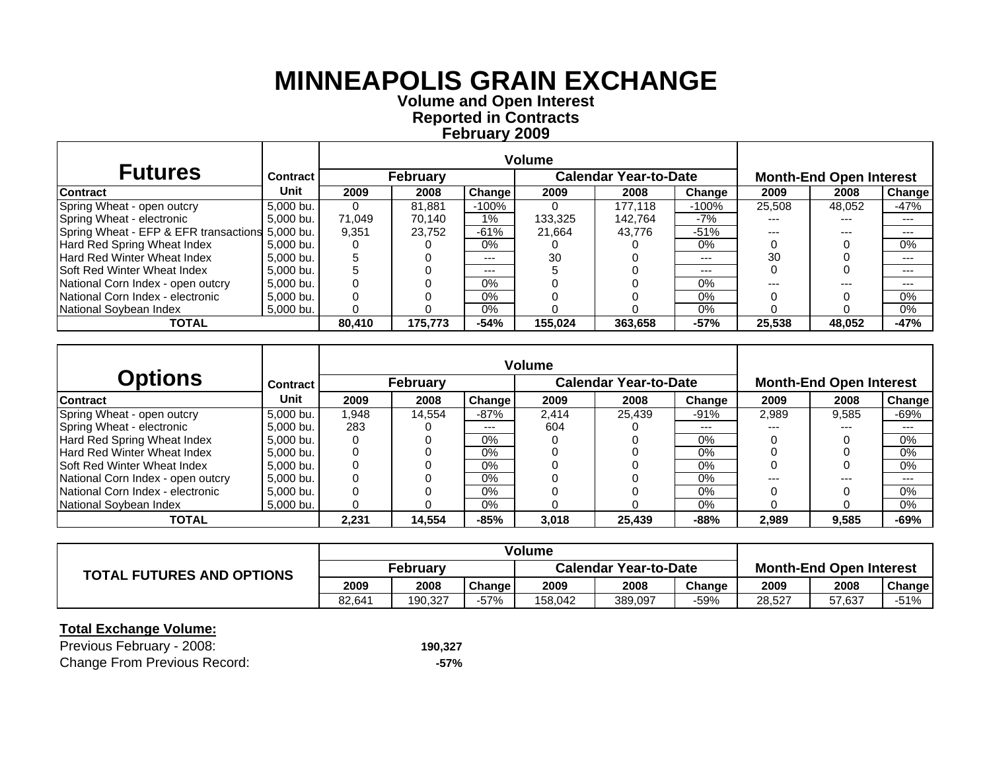**Volume and O pen Interest Re ported in Contracts Februar y 200 9**

| <b>Futures</b>                                  | <b>Contract</b> |          | <b>February</b> |        |         | <b>Calendar Year-to-Date</b> |         |        | <b>Month-End Open Interest</b> |               |
|-------------------------------------------------|-----------------|----------|-----------------|--------|---------|------------------------------|---------|--------|--------------------------------|---------------|
| <b>Contract</b>                                 | Unit            | 2009     | 2008            | Change | 2009    | 2008                         | Change  | 2009   | 2008                           | <b>Change</b> |
| Spring Wheat - open outcry                      | 5,000 bu.       | $\Omega$ | 81.881          | -100%  |         | 177.118                      | $-100%$ | 25,508 | 48,052                         | -47%          |
| Spring Wheat - electronic                       | 5,000 bu.       | 71.049   | 70.140          | $1\%$  | 133.325 | 142.764                      | -7%     | ---    | ---                            | ---           |
| Spring Wheat - EFP & EFR transactions 5,000 bu. |                 | 9.351    | 23.752          | $-61%$ | 21.664  | 43.776                       | $-51%$  | ---    | ---                            | ---           |
| Hard Red Spring Wheat Index                     | 5.000 bu.       |          |                 | $0\%$  |         |                              | 0%      |        |                                | $0\%$         |
| <b>Hard Red Winter Wheat Index</b>              | 5.000 bu.       |          |                 | $--$   | 30      |                              | $---$   | 30     |                                | ---           |
| <b>Soft Red Winter Wheat Index</b>              | 5.000 bu.       |          |                 | $--$   |         |                              | $---$   |        |                                | ---           |
| National Corn Index - open outcry               | 5.000 bu.       |          |                 | $0\%$  |         |                              | $0\%$   |        | ---                            | ---           |
| National Corn Index - electronic                | 5,000 bu.       |          |                 | $0\%$  |         |                              | $0\%$   |        |                                | 0%            |
| National Soybean Index                          | 5,000 bu.       |          |                 | 0%     |         |                              | 0%      |        |                                | 0%            |
| <b>TOTAL</b>                                    |                 | 80.410   | 175.773         | $-54%$ | 155.024 | 363,658                      | $-57%$  | 25.538 | 48.052                         | $-47%$        |

|                                    |                 |       |                 |        | <b>Volume</b> |                              |        |       |                                |        |
|------------------------------------|-----------------|-------|-----------------|--------|---------------|------------------------------|--------|-------|--------------------------------|--------|
| <b>Options</b>                     | <b>Contract</b> |       | <b>February</b> |        |               | <b>Calendar Year-to-Date</b> |        |       | <b>Month-End Open Interest</b> |        |
| <b>Contract</b>                    | Unit            | 2009  | 2008            | Change | 2009          | 2008                         | Change | 2009  | 2008                           | Change |
| Spring Wheat - open outcry         | 5.000 bu.       | 1.948 | 14.554          | $-87%$ | 2.414         | 25.439                       | $-91%$ | 2,989 | 9.585                          | $-69%$ |
| Spring Wheat - electronic          | 5,000 bu.       | 283   |                 | ---    | 604           |                              | ---    | ---   | $---$                          | ---    |
| Hard Red Spring Wheat Index        | 5.000 bu.       |       |                 | $0\%$  |               |                              | $0\%$  |       |                                | $0\%$  |
| Hard Red Winter Wheat Index        | 5.000 bu.       |       |                 | $0\%$  |               |                              | 0%     |       |                                | 0%     |
| <b>Soft Red Winter Wheat Index</b> | 5.000 bu.       |       |                 | $0\%$  |               |                              | $0\%$  |       |                                | 0%     |
| National Corn Index - open outcry  | 5.000 bu.       |       |                 | $0\%$  |               |                              | 0%     | ---   | $---$                          | $--$   |
| National Corn Index - electronic   | 5,000 bu.       |       |                 | $0\%$  |               |                              | $0\%$  |       |                                | 0%     |
| National Soybean Index             | 5.000 bu.       |       |                 | $0\%$  |               |                              | $0\%$  |       |                                | 0%     |
| <b>TOTAL</b>                       |                 | 2.231 | 14.554          | $-85%$ | 3,018         | 25,439                       | $-88%$ | 2,989 | 9,585                          | -69%   |

|                                  |          |         |        | Volume                       |         |        |                                |        |        |
|----------------------------------|----------|---------|--------|------------------------------|---------|--------|--------------------------------|--------|--------|
| <b>TOTAL FUTURES AND OPTIONS</b> | Februarv |         |        | <b>Calendar Year-to-Date</b> |         |        | <b>Month-End Open Interest</b> |        |        |
|                                  | 2009     | 2008    | Change | 2009                         | 2008    | Change | 2009                           | 2008   | Change |
|                                  | 82.641   | 190.327 | $-57%$ | 158.042                      | 389,097 | -59%   | 28.527                         | 57.637 | $-51%$ |

| Previous February - 2008:           | 190,327 |
|-------------------------------------|---------|
| <b>Change From Previous Record:</b> | -57%    |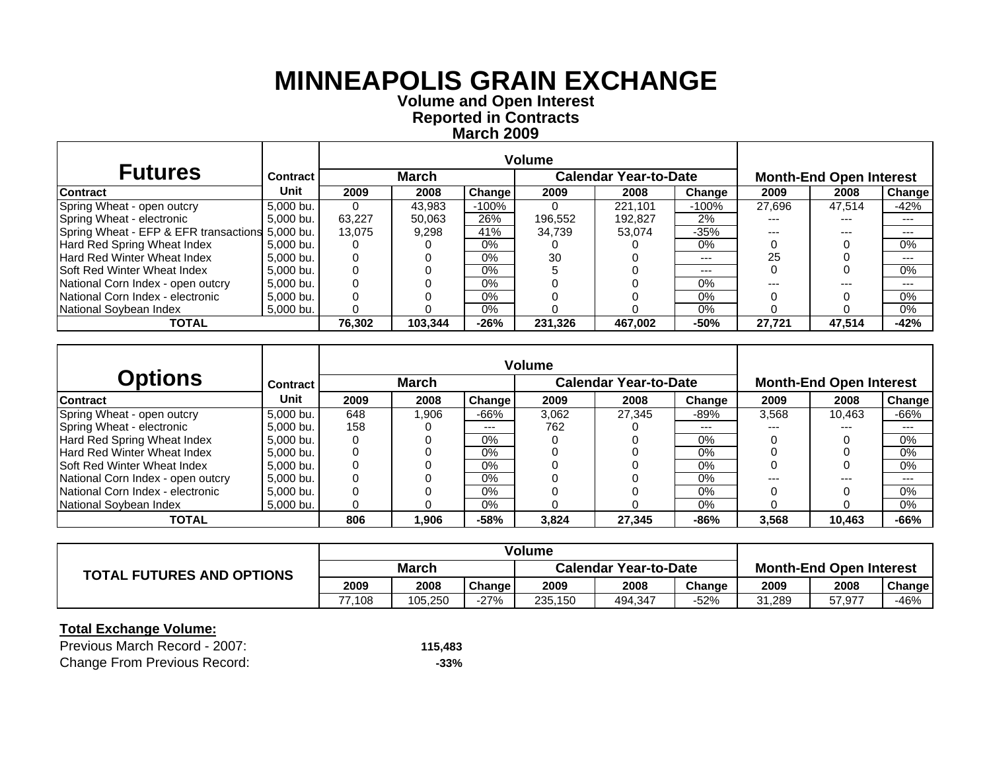**Volume and O pen Interest Re ported in Contracts March 2009**

| <b>Futures</b>                                  | Contract  |          | <b>March</b> |               |         | <b>Calendar Year-to-Date</b> |         |        | <b>Month-End Open Interest</b> |               |
|-------------------------------------------------|-----------|----------|--------------|---------------|---------|------------------------------|---------|--------|--------------------------------|---------------|
| <b>Contract</b>                                 | Unit      | 2009     | 2008         | <b>Change</b> | 2009    | 2008                         | Change  | 2009   | 2008                           | <b>Change</b> |
| Spring Wheat - open outcry                      | 5,000 bu. | $\Omega$ | 43.983       | -100%         |         | 221.101                      | $-100%$ | 27.696 | 47.514                         | $-42%$        |
| Spring Wheat - electronic                       | 5,000 bu. | 63.227   | 50.063       | 26%           | 196.552 | 192.827                      | 2%      |        | ---                            | ---           |
| Spring Wheat - EFP & EFR transactions 5,000 bu. |           | 13.075   | 9.298        | 41%           | 34.739  | 53.074                       | $-35%$  |        | ---                            | ---           |
| Hard Red Spring Wheat Index                     | 5.000 bu. |          |              | 0%            |         |                              | 0%      |        |                                | 0%            |
| Hard Red Winter Wheat Index                     | 5.000 bu. |          |              | 0%            | 30      |                              | $---$   | 25     |                                | ---           |
| Soft Red Winter Wheat Index                     | 5.000 bu. |          |              | $0\%$         |         |                              | $---$   |        |                                | 0%            |
| National Corn Index - open outcry               | 5.000 bu. |          |              | $0\%$         |         |                              | $0\%$   |        | ---                            | ---           |
| National Corn Index - electronic                | 5,000 bu. |          |              | $0\%$         |         |                              | 0%      |        |                                | 0%            |
| National Soybean Index                          | 5,000 bu. |          |              | 0%            |         |                              | $0\%$   |        |                                | 0%            |
| <b>TOTAL</b>                                    |           | 76.302   | 103.344      | $-26%$        | 231.326 | 467.002                      | $-50%$  | 27.721 | 47.514                         | $-42%$        |

|                                    |                 |      |        |        | <b>Volume</b> |                              |        |       |                                |        |
|------------------------------------|-----------------|------|--------|--------|---------------|------------------------------|--------|-------|--------------------------------|--------|
| <b>Options</b>                     | <b>Contract</b> |      | March  |        |               | <b>Calendar Year-to-Date</b> |        |       | <b>Month-End Open Interest</b> |        |
| <b>Contract</b>                    | Unit            | 2009 | 2008   | Change | 2009          | 2008                         | Change | 2009  | 2008                           | Change |
| Spring Wheat - open outcry         | 5.000 bu.       | 648  | 906. ا | -66%   | 3.062         | 27.345                       | -89%   | 3,568 | 10.463                         | $-66%$ |
| Spring Wheat - electronic          | 5,000 bu.       | 158  |        | ---    | 762           |                              | ---    | ---   | $---$                          | ---    |
| Hard Red Spring Wheat Index        | 5.000 bu.       |      |        | $0\%$  |               |                              | $0\%$  |       |                                | $0\%$  |
| Hard Red Winter Wheat Index        | 5.000 bu.       |      |        | $0\%$  |               |                              | 0%     |       |                                | 0%     |
| <b>Soft Red Winter Wheat Index</b> | 5.000 bu.       |      |        | $0\%$  |               |                              | $0\%$  |       |                                | 0%     |
| National Corn Index - open outcry  | 5.000 bu.       |      |        | $0\%$  |               |                              | 0%     | ---   | $---$                          | $--$   |
| National Corn Index - electronic   | 5,000 bu.       |      |        | $0\%$  |               |                              | $0\%$  |       |                                | 0%     |
| National Soybean Index             | 5.000 bu.       |      |        | $0\%$  |               |                              | $0\%$  |       |                                | 0%     |
| <b>TOTAL</b>                       |                 | 806  | 1,906  | $-58%$ | 3,824         | 27,345                       | $-86%$ | 3,568 | 10,463                         | -66%   |

|                                  |       |         |        | Volume                       |         |        |                                |        |        |
|----------------------------------|-------|---------|--------|------------------------------|---------|--------|--------------------------------|--------|--------|
| <b>TOTAL FUTURES AND OPTIONS</b> | March |         |        | <b>Calendar Year-to-Date</b> |         |        | <b>Month-End Open Interest</b> |        |        |
|                                  | 2009  | 2008    | Change | 2009                         | 2008    | Change | 2009                           | 2008   | Change |
|                                  | .108  | 105.250 | -27%   | 235.150                      | 494,347 | -52%   | 31.289                         | 57,977 | $-46%$ |

| Previous March Record - 2007:       | 115.483 |
|-------------------------------------|---------|
| <b>Change From Previous Record:</b> | $-33%$  |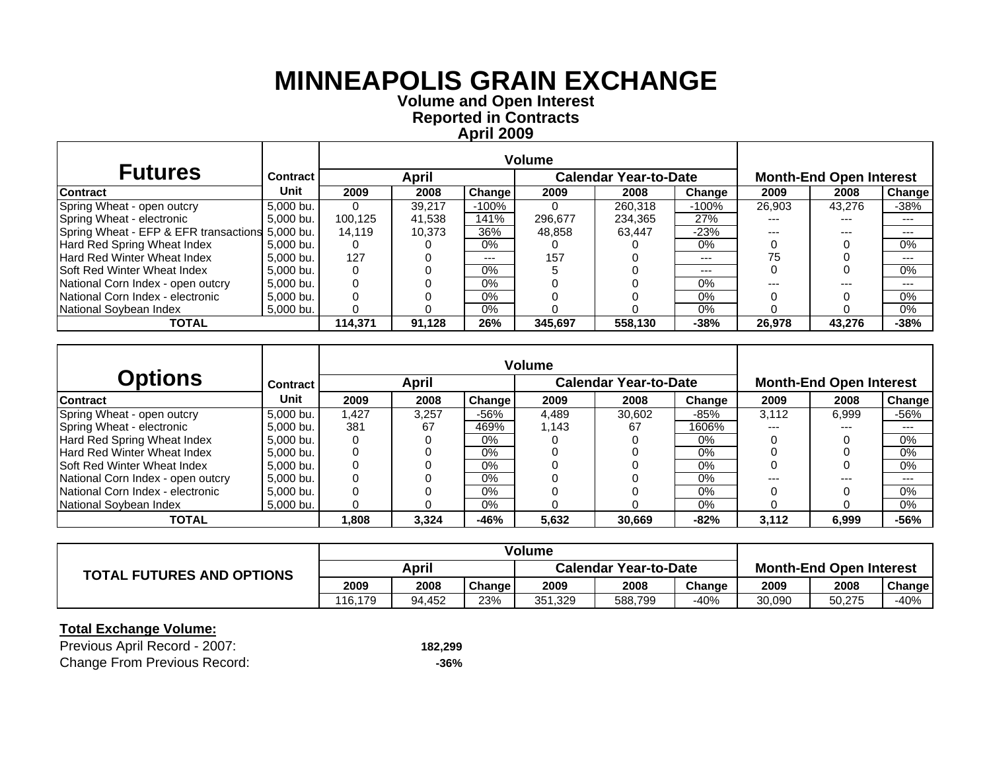**Volume and O pen Interest Re ported in Contracts April 2009**

| <b>Futures</b>                                  | <b>Contract</b> |         | April  |          | <b>Calendar Year-to-Date</b> |         |         | <b>Month-End Open Interest</b> |        |         |
|-------------------------------------------------|-----------------|---------|--------|----------|------------------------------|---------|---------|--------------------------------|--------|---------|
| <b>Contract</b>                                 | Unit            | 2009    | 2008   | Change I | 2009                         | 2008    | Change  | 2009                           | 2008   | Change  |
| Spring Wheat - open outcry                      | 5,000 bu.       | 0       | 39.217 | -100%    |                              | 260,318 | $-100%$ | 26,903                         | 43,276 | $-38%$  |
| Spring Wheat - electronic                       | 5,000 bu.       | 100.125 | 41.538 | 141%     | 296,677                      | 234.365 | 27%     |                                | ---    | ---     |
| Spring Wheat - EFP & EFR transactions 5,000 bu. |                 | 14.119  | 10.373 | 36%      | 48.858                       | 63.447  | $-23%$  |                                | ---    | ---     |
| Hard Red Spring Wheat Index                     | 5.000 bu.       |         |        | $0\%$    |                              |         | $0\%$   |                                |        | 0%      |
| <b>Hard Red Winter Wheat Index</b>              | 5.000 bu.       | 127     |        | $---$    | 157                          |         | $---$   | 75                             |        | $- - -$ |
| <b>Soft Red Winter Wheat Index</b>              | 5.000 bu.       |         |        | 0%       |                              |         | ---     |                                |        | 0%      |
| National Corn Index - open outcry               | 5.000 bu.       |         |        | $0\%$    |                              |         | $0\%$   |                                | ---    | ---     |
| National Corn Index - electronic                | 5.000 bu.       |         |        | $0\%$    |                              |         | $0\%$   |                                |        | $0\%$   |
| National Soybean Index                          | 5,000 bu.       |         |        | 0%       |                              |         | $0\%$   |                                |        | 0%      |
| <b>TOTAL</b>                                    |                 | 114.371 | 91.128 | 26%      | 345.697                      | 558,130 | $-38%$  | 26,978                         | 43.276 | $-38%$  |

|                                     |                 |       |       |        | <b>Volume</b> |                              |        |       |                                |         |
|-------------------------------------|-----------------|-------|-------|--------|---------------|------------------------------|--------|-------|--------------------------------|---------|
| <b>Options</b>                      | <b>Contract</b> |       | April |        |               | <b>Calendar Year-to-Date</b> |        |       | <b>Month-End Open Interest</b> |         |
| <b>Contract</b>                     | Unit            | 2009  | 2008  | Change | 2009          | 2008                         | Change | 2009  | 2008                           | Change  |
| Spring Wheat - open outcry          | 5.000 bu.       | 1.427 | 3.257 | $-56%$ | 4.489         | 30.602                       | $-85%$ | 3.112 | 6,999                          | $-56%$  |
| Spring Wheat - electronic           | 5.000 bu.       | 381   | 67    | 469%   | 1.143         | 67                           | 1606%  | ---   | $- - -$                        | ---     |
| Hard Red Spring Wheat Index         | 5,000 bu.       |       |       | $0\%$  |               |                              | $0\%$  |       |                                | 0%      |
| Hard Red Winter Wheat Index         | 5.000 bu.       |       |       | $0\%$  |               |                              | $0\%$  |       |                                | 0%      |
| <b>ISoft Red Winter Wheat Index</b> | 5.000 bu.       |       |       | $0\%$  |               |                              | $0\%$  |       |                                | 0%      |
| National Corn Index - open outcry   | 5.000 bu.       |       |       | $0\%$  |               |                              | $0\%$  | ---   | $---$                          | $- - -$ |
| National Corn Index - electronic    | 5.000 bu.       |       |       | $0\%$  |               |                              | $0\%$  |       |                                | 0%      |
| National Soybean Index              | 5,000 bu.       |       |       | $0\%$  |               |                              | $0\%$  |       |                                | 0%      |
| <b>TOTAL</b>                        |                 | 1,808 | 3.324 | $-46%$ | 5,632         | 30.669                       | $-82%$ | 3,112 | 6,999                          | $-56%$  |

|                                  | Volume  |        |        |                              |         |        |                                |        |        |
|----------------------------------|---------|--------|--------|------------------------------|---------|--------|--------------------------------|--------|--------|
| <b>TOTAL FUTURES AND OPTIONS</b> | April   |        |        | <b>Calendar Year-to-Date</b> |         |        | <b>Month-End Open Interest</b> |        |        |
|                                  | 2009    | 2008   | Change | 2009                         | 2008    | Change | 2009                           | 2008   | Change |
|                                  | 116.179 | 94.452 | 23%    | 351.329                      | 588,799 | $-40%$ | 30,090                         | 50,275 | $-40%$ |

| Previous April Record - 2007:       | 182,299 |
|-------------------------------------|---------|
| <b>Change From Previous Record:</b> | -36%    |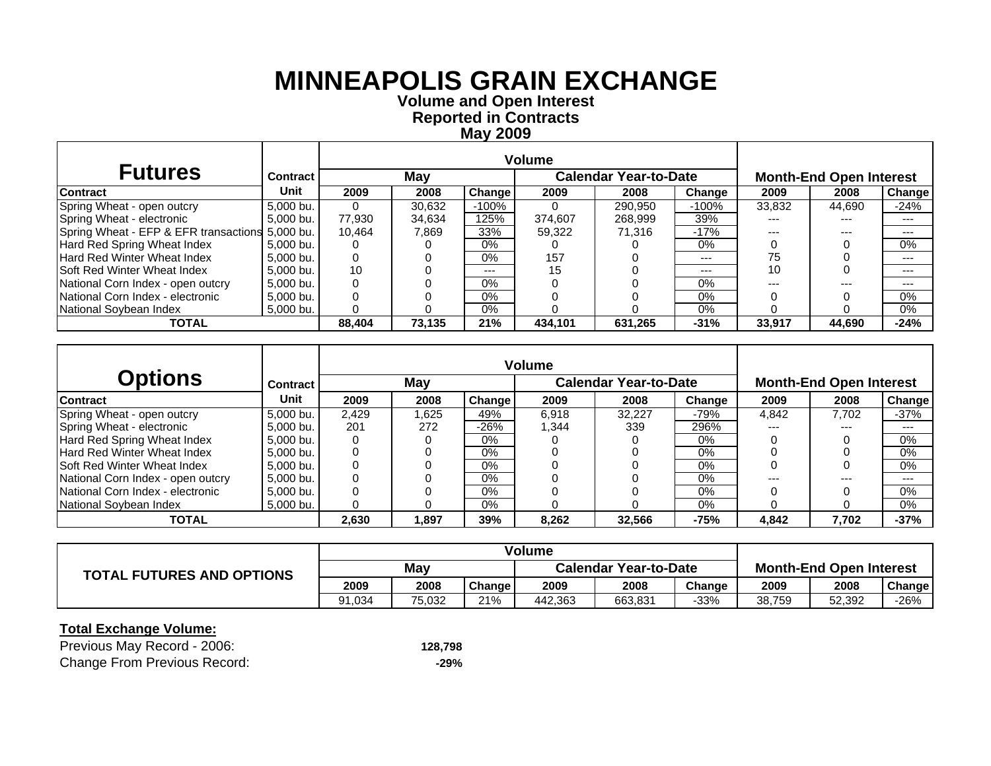**Volume and O pen Interest Re ported in Contracts Ma y 2009**

| <b>Futures</b>                                  | <b>Contract</b> |        | May    |        |          | <b>Calendar Year-to-Date</b> |         |        | <b>Month-End Open Interest</b> |               |
|-------------------------------------------------|-----------------|--------|--------|--------|----------|------------------------------|---------|--------|--------------------------------|---------------|
| <b>Contract</b>                                 | Unit            | 2009   | 2008   | Change | 2009     | 2008                         | Change  | 2009   | 2008                           | <b>Change</b> |
| Spring Wheat - open outcry                      | 5,000 bu.       | 0      | 30.632 | -100%  | $\Omega$ | 290.950                      | $-100%$ | 33,832 | 44,690                         | $-24%$        |
| Spring Wheat - electronic                       | 5,000 bu.       | 77.930 | 34.634 | 125%   | 374.607  | 268.999                      | 39%     | ---    | ---                            | ---           |
| Spring Wheat - EFP & EFR transactions 5,000 bu. |                 | 10.464 | 7,869  | 33%    | 59.322   | 71.316                       | $-17%$  | ---    | ---                            | ---           |
| Hard Red Spring Wheat Index                     | 5.000 bu.       |        |        | 0%     |          |                              | 0%      |        |                                | $0\%$         |
| <b>Hard Red Winter Wheat Index</b>              | 5.000 bu.       |        |        | 0%     | 157      |                              | $---$   | 75     |                                | ---           |
| <b>Soft Red Winter Wheat Index</b>              | 5.000 bu.       | 10     |        | $--$   | 15       |                              | $---$   | 10     |                                | ---           |
| National Corn Index - open outcry               | 5.000 bu.       |        |        | 0%     |          |                              | 0%      |        | ---                            | ---           |
| National Corn Index - electronic                | 5.000 bu.       |        |        | $0\%$  |          |                              | $0\%$   |        |                                | 0%            |
| National Sovbean Index                          | 5,000 bu.       |        |        | $0\%$  |          |                              | 0%      |        |                                | 0%            |
| <b>TOTAL</b>                                    |                 | 88.404 | 73.135 | 21%    | 434,101  | 631.265                      | $-31%$  | 33.917 | 44,690                         | $-24%$        |

|                                     |           |       |       |        | <b>Volume</b> |                              |        |                                |       |        |  |
|-------------------------------------|-----------|-------|-------|--------|---------------|------------------------------|--------|--------------------------------|-------|--------|--|
| <b>Options</b>                      | Contract  |       | May   |        |               | <b>Calendar Year-to-Date</b> |        | <b>Month-End Open Interest</b> |       |        |  |
| <b>Contract</b>                     | Unit      | 2009  | 2008  | Change | 2009          | 2008                         | Change | 2009                           | 2008  | Change |  |
| Spring Wheat - open outcry          | 5.000 bu. | 2.429 | 1.625 | 49%    | 6.918         | 32.227                       | -79%   | 4.842                          | 7.702 | $-37%$ |  |
| Spring Wheat - electronic           | 5.000 bu. | 201   | 272   | $-26%$ | 1.344         | 339                          | 296%   | ---                            | ---   | $---$  |  |
| Hard Red Spring Wheat Index         | 5.000 bu. |       |       | $0\%$  |               |                              | 0%     |                                |       | 0%     |  |
| Hard Red Winter Wheat Index         | 5.000 bu. |       |       | $0\%$  |               |                              | $0\%$  |                                |       | 0%     |  |
| <b>ISoft Red Winter Wheat Index</b> | 5.000 bu. |       |       | $0\%$  |               |                              | $0\%$  |                                |       | 0%     |  |
| National Corn Index - open outcry   | 5.000 bu. |       |       | $0\%$  |               |                              | 0%     | ---                            | $---$ | $---$  |  |
| National Corn Index - electronic    | 5.000 bu. |       |       | $0\%$  |               |                              | $0\%$  |                                |       | 0%     |  |
| National Soybean Index              | 5.000 bu. |       |       | $0\%$  |               |                              | $0\%$  |                                |       | 0%     |  |
| <b>TOTAL</b>                        |           | 2,630 | 1,897 | 39%    | 8,262         | 32,566                       | $-75%$ | 4.842                          | 7,702 | $-37%$ |  |

|                                  | Volume |        |        |                              |         |        |                                |        |        |
|----------------------------------|--------|--------|--------|------------------------------|---------|--------|--------------------------------|--------|--------|
| <b>TOTAL FUTURES AND OPTIONS</b> | May    |        |        | <b>Calendar Year-to-Date</b> |         |        | <b>Month-End Open Interest</b> |        |        |
|                                  | 2009   | 2008   | Change | 2009                         | 2008    | Change | 2009                           | 2008   | Change |
|                                  | 91,034 | 75,032 | 21%    | 442.363                      | 663,831 | $-33%$ | 38,759                         | 52,392 | $-26%$ |

| Previous May Record - 2006:         | 128,798 |
|-------------------------------------|---------|
| <b>Change From Previous Record:</b> | -29%    |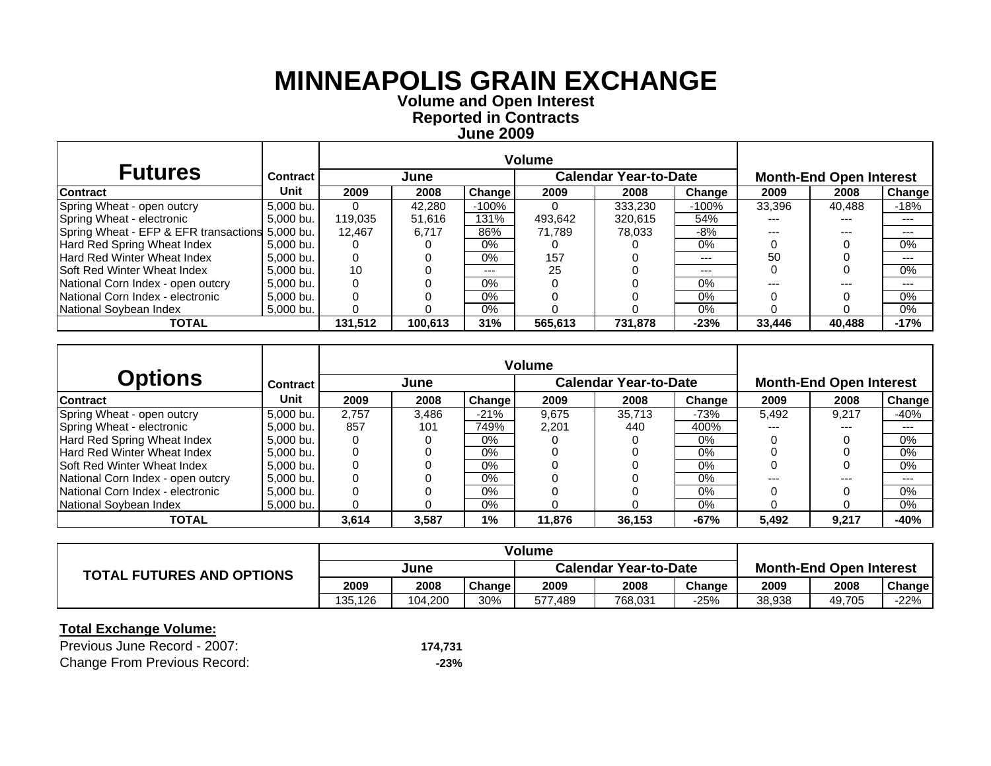**Volume and O pen Interest Re ported in Contracts June 200 9**

| <b>Futures</b>                                  | Contract  |          | June    |               |         | <b>Calendar Year-to-Date</b> |         |        | <b>Month-End Open Interest</b> |               |
|-------------------------------------------------|-----------|----------|---------|---------------|---------|------------------------------|---------|--------|--------------------------------|---------------|
| <b>Contract</b>                                 | Unit      | 2009     | 2008    | <b>Change</b> | 2009    | 2008                         | Change  | 2009   | 2008                           | <b>Change</b> |
| Spring Wheat - open outcry                      | 5,000 bu. | $\Omega$ | 42.280  | -100%         |         | 333,230                      | $-100%$ | 33,396 | 40,488                         | -18%          |
| Spring Wheat - electronic                       | 5.000 bu. | 119.035  | 51.616  | 131%          | 493.642 | 320.615                      | 54%     |        | ---                            | ---           |
| Spring Wheat - EFP & EFR transactions 5,000 bu. |           | 12.467   | 6.717   | 86%           | 71.789  | 78.033                       | -8%     |        | ---                            | ---           |
| Hard Red Spring Wheat Index                     | 5.000 bu. |          |         | 0%            |         |                              | $0\%$   |        |                                | 0%            |
| Hard Red Winter Wheat Index                     | 5.000 bu. |          |         | 0%            | 157     |                              | $---$   | 50     |                                | ---           |
| Soft Red Winter Wheat Index                     | 5.000 bu. | 10       |         | $--$          | 25      |                              | $---$   |        |                                | 0%            |
| National Corn Index - open outcry               | 5.000 bu. |          |         | $0\%$         |         |                              | $0\%$   |        | ---                            | ---           |
| National Corn Index - electronic                | 5,000 bu. |          |         | $0\%$         |         |                              | 0%      |        |                                | 0%            |
| National Soybean Index                          | 5,000 bu. |          |         | 0%            |         |                              | $0\%$   |        |                                | 0%            |
| <b>TOTAL</b>                                    |           | 131.512  | 100.613 | 31%           | 565,613 | 731,878                      | $-23%$  | 33.446 | 40.488                         | $-17%$        |

|                                     |           |       |       |        | <b>Volume</b> |                              |        |       |                                |        |
|-------------------------------------|-----------|-------|-------|--------|---------------|------------------------------|--------|-------|--------------------------------|--------|
| <b>Options</b>                      | Contract  |       | June  |        |               | <b>Calendar Year-to-Date</b> |        |       | <b>Month-End Open Interest</b> |        |
| <b>Contract</b>                     | Unit      | 2009  | 2008  | Change | 2009          | 2008                         | Change | 2009  | 2008                           | Change |
| Spring Wheat - open outcry          | 5.000 bu. | 2.757 | 3.486 | $-21%$ | 9.675         | 35.713                       | $-73%$ | 5,492 | 9.217                          | $-40%$ |
| Spring Wheat - electronic           | 5.000 bu. | 857   | 101   | 749%   | 2.201         | 440                          | 400%   | ---   | ---                            | $---$  |
| Hard Red Spring Wheat Index         | 5.000 bu. |       |       | $0\%$  |               |                              | 0%     |       |                                | 0%     |
| Hard Red Winter Wheat Index         | 5.000 bu. |       |       | $0\%$  |               |                              | $0\%$  |       |                                | 0%     |
| <b>ISoft Red Winter Wheat Index</b> | 5.000 bu. |       |       | $0\%$  |               |                              | $0\%$  |       |                                | 0%     |
| National Corn Index - open outcry   | 5.000 bu. |       |       | $0\%$  |               |                              | 0%     | ---   | $---$                          | $---$  |
| National Corn Index - electronic    | 5.000 bu. |       |       | $0\%$  |               |                              | $0\%$  |       |                                | 0%     |
| National Soybean Index              | 5.000 bu. |       |       | $0\%$  |               |                              | $0\%$  |       |                                | 0%     |
| <b>TOTAL</b>                        |           | 3,614 | 3,587 | 1%     | 11,876        | 36,153                       | $-67%$ | 5,492 | 9,217                          | $-40%$ |

|                                  | Volume  |         |        |                              |         |        |                                |        |        |
|----------------------------------|---------|---------|--------|------------------------------|---------|--------|--------------------------------|--------|--------|
| <b>TOTAL FUTURES AND OPTIONS</b> | June    |         |        | <b>Calendar Year-to-Date</b> |         |        | <b>Month-End Open Interest</b> |        |        |
|                                  | 2009    | 2008    | Change | 2009                         | 2008    | Change | 2009                           | 2008   | Change |
|                                  | 135.126 | 104.200 | 30%    | 577<br>489.'                 | 768,031 | -25%   | 38,938                         | 49,705 | $-22%$ |

| Previous June Record - 2007:        | 174.731 |
|-------------------------------------|---------|
| <b>Change From Previous Record:</b> | $-23%$  |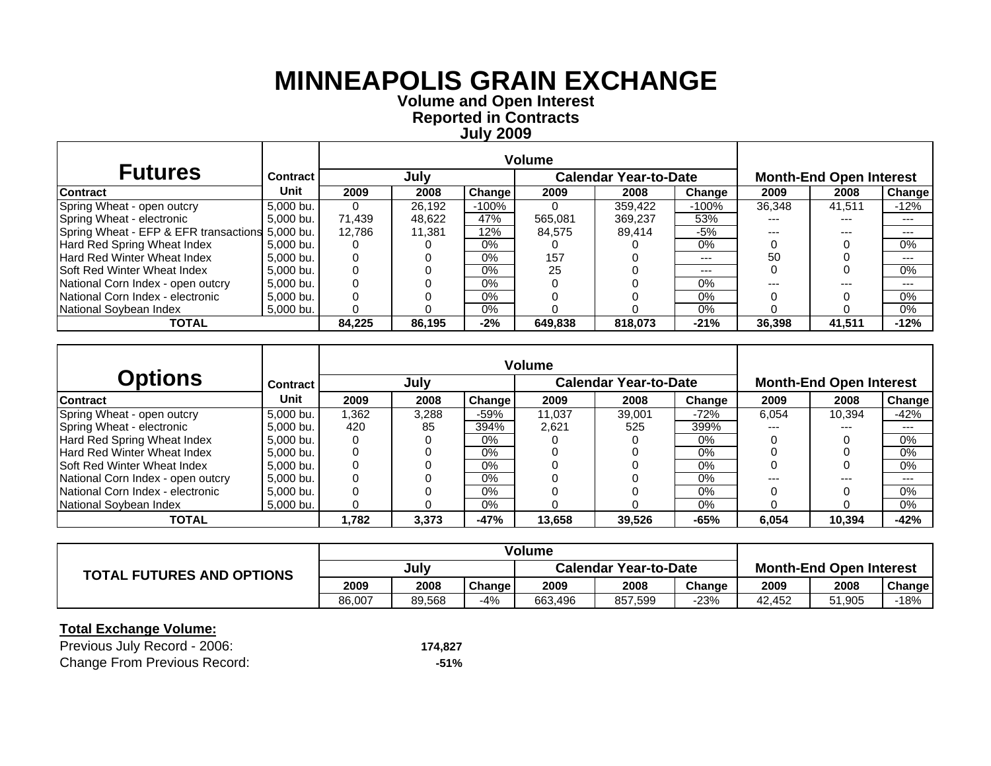**Volume and O pen Interest Re ported in Contracts Jul y 200 9**

| <b>Futures</b>                                  | Contract  |          | July   |        |         | <b>Calendar Year-to-Date</b> |         | <b>Month-End Open Interest</b> |        |        |
|-------------------------------------------------|-----------|----------|--------|--------|---------|------------------------------|---------|--------------------------------|--------|--------|
| <b>Contract</b>                                 | Unit      | 2009     | 2008   | Change | 2009    | 2008                         | Change  | 2009                           | 2008   | Change |
| Spring Wheat - open outcry                      | 5,000 bu. | $\Omega$ | 26.192 | -100%  |         | 359.422                      | $-100%$ | 36,348                         | 41.511 | $-12%$ |
| Spring Wheat - electronic                       | 5.000 bu. | 71.439   | 48.622 | 47%    | 565.081 | 369.237                      | 53%     |                                | ---    | ---    |
| Spring Wheat - EFP & EFR transactions 5,000 bu. |           | 12.786   | 11.381 | 12%    | 84.575  | 89.414                       | -5%     |                                | ---    | ---    |
| Hard Red Spring Wheat Index                     | 5.000 bu. |          |        | 0%     |         |                              | $0\%$   |                                |        | 0%     |
| Hard Red Winter Wheat Index                     | 5.000 bu. |          |        | 0%     | 157     |                              | $---$   | 50                             |        | ---    |
| Soft Red Winter Wheat Index                     | 5.000 bu. |          |        | $0\%$  | 25      |                              | $---$   |                                |        | 0%     |
| National Corn Index - open outcry               | 5.000 bu. |          |        | $0\%$  |         |                              | $0\%$   |                                | ---    | ---    |
| National Corn Index - electronic                | 5,000 bu. |          |        | $0\%$  |         |                              | 0%      |                                |        | 0%     |
| National Soybean Index                          | 5,000 bu. |          |        | 0%     |         |                              | $0\%$   |                                |        | 0%     |
| <b>TOTAL</b>                                    |           | 84.225   | 86.195 | $-2%$  | 649.838 | 818.073                      | $-21%$  | 36,398                         | 41.511 | $-12%$ |

|                                     |           |       |       |        | <b>Volume</b> |                              |        |       |                                |        |  |  |
|-------------------------------------|-----------|-------|-------|--------|---------------|------------------------------|--------|-------|--------------------------------|--------|--|--|
| <b>Options</b>                      | Contract  |       | July  |        |               | <b>Calendar Year-to-Date</b> |        |       | <b>Month-End Open Interest</b> |        |  |  |
| <b>Contract</b>                     | Unit      | 2009  | 2008  | Change | 2009          | 2008                         | Change | 2009  | 2008                           | Change |  |  |
| Spring Wheat - open outcry          | 5,000 bu. | 1.362 | 3.288 | $-59%$ | 11.037        | 39.001                       | $-72%$ | 6,054 | 10.394                         | $-42%$ |  |  |
| Spring Wheat - electronic           | 5.000 bu. | 420   | 85    | 394%   | 2.621         | 525                          | 399%   | ---   | ---                            | $---$  |  |  |
| Hard Red Spring Wheat Index         | 5.000 bu. |       |       | $0\%$  |               |                              | 0%     |       |                                | 0%     |  |  |
| Hard Red Winter Wheat Index         | 5.000 bu. |       |       | $0\%$  |               |                              | $0\%$  |       |                                | 0%     |  |  |
| <b>ISoft Red Winter Wheat Index</b> | 5.000 bu. |       |       | $0\%$  |               |                              | $0\%$  |       |                                | 0%     |  |  |
| National Corn Index - open outcry   | 5.000 bu. |       |       | $0\%$  |               |                              | 0%     | ---   | $---$                          | $---$  |  |  |
| National Corn Index - electronic    | 5.000 bu. |       |       | $0\%$  |               |                              | $0\%$  |       |                                | 0%     |  |  |
| National Soybean Index              | 5.000 bu. |       |       | $0\%$  |               |                              | $0\%$  |       |                                | 0%     |  |  |
| <b>TOTAL</b>                        |           | 1.782 | 3,373 | $-47%$ | 13,658        | 39,526                       | $-65%$ | 6.054 | 10.394                         | $-42%$ |  |  |

|                                  | Volume |        |        |                              |         |        |                                |        |        |
|----------------------------------|--------|--------|--------|------------------------------|---------|--------|--------------------------------|--------|--------|
| <b>TOTAL FUTURES AND OPTIONS</b> | Julv   |        |        | <b>Calendar Year-to-Date</b> |         |        | <b>Month-End Open Interest</b> |        |        |
|                                  | 2009   | 2008   | Change | 2009                         | 2008    | Change | 2009                           | 2008   | Change |
|                                  | 86.007 | 89,568 | $-4%$  | 663.496                      | 857,599 | -23%   | 42.452                         | 51,905 | -18%   |

| Previous July Record - 2006:        | 174.827 |
|-------------------------------------|---------|
| <b>Change From Previous Record:</b> | -51%    |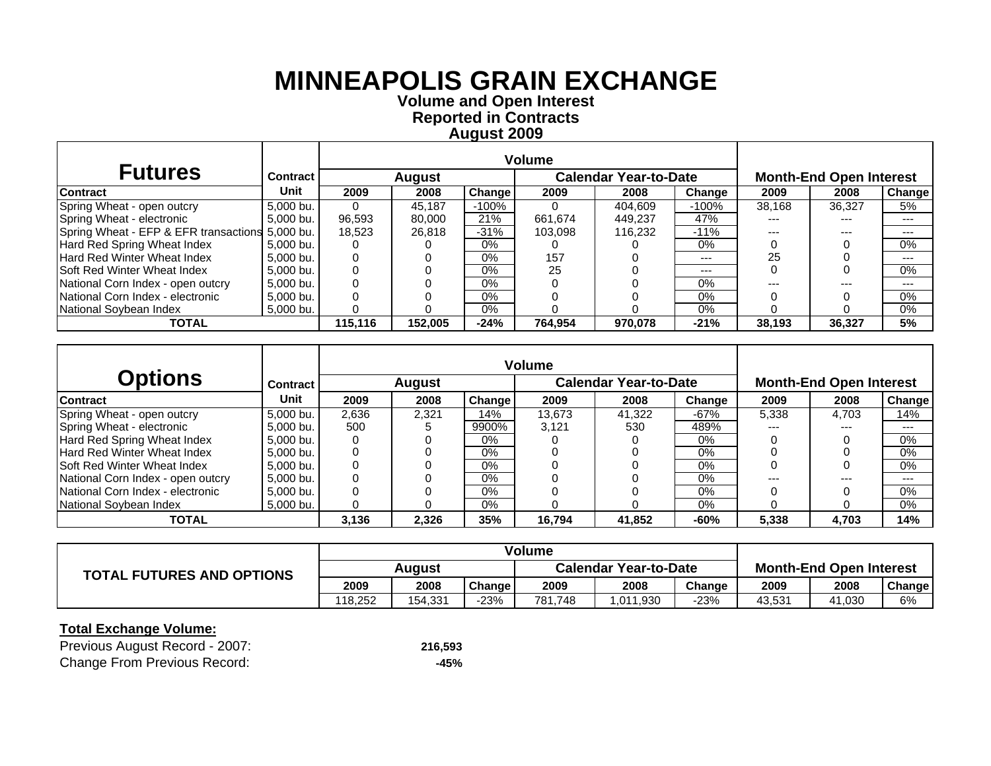**Volume and O pen Interest Re ported in Contracts A u gust 200 9**

| <b>Futures</b>                                  | <b>Contract</b> |         | <b>August</b> |        |         | <b>Calendar Year-to-Date</b> |         |        | <b>Month-End Open Interest</b> |        |
|-------------------------------------------------|-----------------|---------|---------------|--------|---------|------------------------------|---------|--------|--------------------------------|--------|
| <b>Contract</b>                                 | Unit            | 2009    | 2008          | Change | 2009    | 2008                         | Change  | 2009   | 2008                           | Change |
| Spring Wheat - open outcry                      | 5,000 bu.       | 0       | 45.187        | -100%  |         | 404,609                      | $-100%$ | 38,168 | 36,327                         | 5%     |
| Spring Wheat - electronic                       | 5,000 bu.       | 96.593  | 80.000        | 21%    | 661.674 | 449.237                      | 47%     | ---    | ---                            | ---    |
| Spring Wheat - EFP & EFR transactions 5,000 bu. |                 | 18.523  | 26.818        | $-31%$ | 103.098 | 116.232                      | $-11%$  | ---    | ---                            | ---    |
| Hard Red Spring Wheat Index                     | 5.000 bu.       |         |               | 0%     |         |                              | 0%      |        |                                | $0\%$  |
| <b>Hard Red Winter Wheat Index</b>              | 5.000 bu.       |         |               | $0\%$  | 157     |                              | $---$   | 25     |                                | ---    |
| <b>Soft Red Winter Wheat Index</b>              | 5.000 bu.       |         |               | $0\%$  | 25      |                              | $---$   |        |                                | 0%     |
| National Corn Index - open outcry               | 5.000 bu.       |         |               | $0\%$  |         |                              | $0\%$   |        | ---                            | ---    |
| National Corn Index - electronic                | 5,000 bu.       |         |               | $0\%$  |         |                              | $0\%$   |        |                                | 0%     |
| National Soybean Index                          | 5,000 bu.       |         |               | 0%     |         |                              | 0%      |        |                                | 0%     |
| <b>TOTAL</b>                                    |                 | 115.116 | 152.005       | $-24%$ | 764.954 | 970.078                      | $-21%$  | 38.193 | 36,327                         | 5%     |

|                                    |                 |       |               |        | <b>Volume</b> |                              |        |       |                                |        |
|------------------------------------|-----------------|-------|---------------|--------|---------------|------------------------------|--------|-------|--------------------------------|--------|
| <b>Options</b>                     | <b>Contract</b> |       | <b>August</b> |        |               | <b>Calendar Year-to-Date</b> |        |       | <b>Month-End Open Interest</b> |        |
| <b>Contract</b>                    | Unit            | 2009  | 2008          | Change | 2009          | 2008                         | Change | 2009  | 2008                           | Change |
| Spring Wheat - open outcry         | 5.000 bu.       | 2.636 | 2.321         | 14%    | 13.673        | 41.322                       | $-67%$ | 5.338 | 4.703                          | 14%    |
| Spring Wheat - electronic          | 5,000 bu.       | 500   |               | 9900%  | 3.121         | 530                          | 489%   | ---   | $---$                          | $--$   |
| Hard Red Spring Wheat Index        | 5.000 bu.       |       |               | $0\%$  |               |                              | $0\%$  |       |                                | $0\%$  |
| Hard Red Winter Wheat Index        | 5.000 bu.       |       |               | $0\%$  |               |                              | 0%     |       |                                | 0%     |
| <b>Soft Red Winter Wheat Index</b> | 5.000 bu.       |       |               | $0\%$  |               |                              | $0\%$  |       |                                | 0%     |
| National Corn Index - open outcry  | 5.000 bu.       |       |               | $0\%$  |               |                              | 0%     | ---   | $---$                          | $--$   |
| National Corn Index - electronic   | 5,000 bu.       |       |               | $0\%$  |               |                              | $0\%$  |       |                                | 0%     |
| National Soybean Index             | 5.000 bu.       |       |               | $0\%$  |               |                              | $0\%$  |       |                                | 0%     |
| <b>TOTAL</b>                       |                 | 3,136 | 2,326         | 35%    | 16.794        | 41,852                       | $-60%$ | 5,338 | 4,703                          | 14%    |

|                                  | Volume  |         |               |                              |          |        |                                |        |        |
|----------------------------------|---------|---------|---------------|------------------------------|----------|--------|--------------------------------|--------|--------|
| <b>TOTAL FUTURES AND OPTIONS</b> | Auaust  |         |               | <b>Calendar Year-to-Date</b> |          |        | <b>Month-End Open Interest</b> |        |        |
|                                  | 2009    | 2008    | <b>Change</b> | 2009                         | 2008     | Change | 2009                           | 2008   | Change |
|                                  | 118.252 | 154.331 | $-23%$        | 781.748                      | .011,930 | -23%   | 43,531                         | 41,030 | 6%     |

| Previous August Record - 2007:      | 216,593 |
|-------------------------------------|---------|
| <b>Change From Previous Record:</b> | -45%    |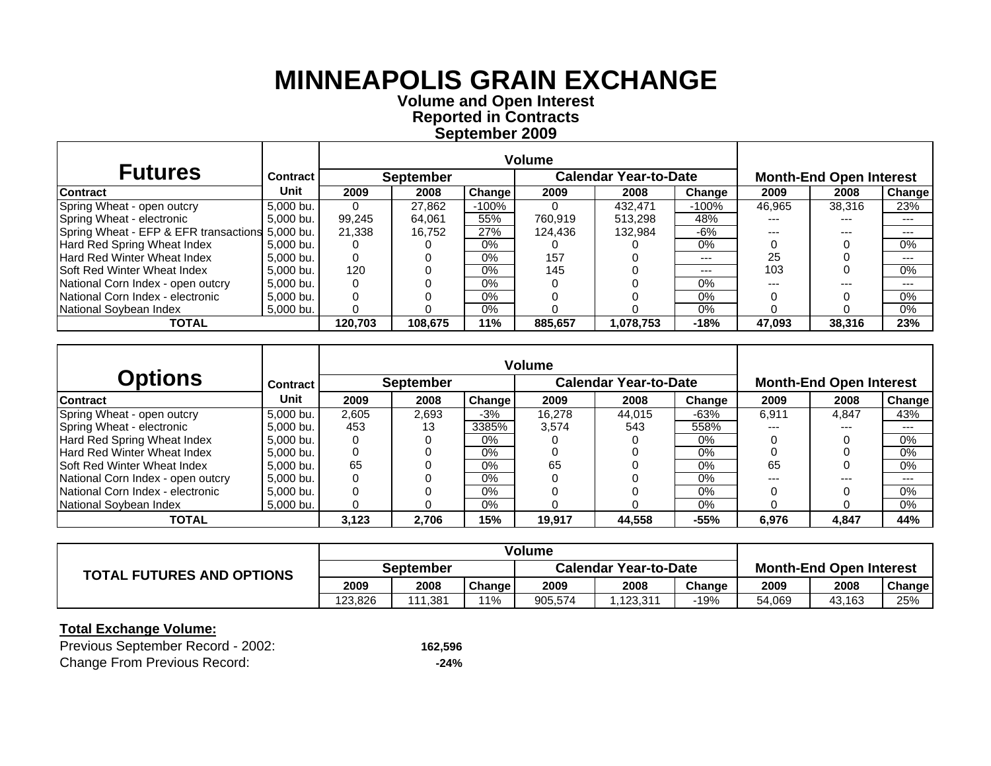**September 2009 Reported in Contracts Volume and Open Interest**

| <b>Futures</b>                                  | <b>Contract</b> |         | <b>September</b> |         | <b>Calendar Year-to-Date</b> |           |         | <b>Month-End Open Interest</b> |        |        |
|-------------------------------------------------|-----------------|---------|------------------|---------|------------------------------|-----------|---------|--------------------------------|--------|--------|
| Contract                                        | Unit            | 2009    | 2008             | Change  | 2009                         | 2008      | Change  | 2009                           | 2008   | Change |
| Spring Wheat - open outcry                      | 5,000 bu.       |         | 27,862           | $-100%$ |                              | 432.471   | $-100%$ | 46,965                         | 38.316 | 23%    |
| Spring Wheat - electronic                       | 5,000 bu.       | 99,245  | 64.061           | 55%     | 760.919                      | 513,298   | 48%     |                                | ---    | ---    |
| Spring Wheat - EFP & EFR transactions 5,000 bu. |                 | 21,338  | 16.752           | 27%     | 124.436                      | 132.984   | -6%     |                                | ---    | $---$  |
| Hard Red Spring Wheat Index                     | 5.000 bu.       |         |                  | 0%      |                              |           | $0\%$   |                                |        | 0%     |
| Hard Red Winter Wheat Index                     | 5.000 bu.       |         |                  | 0%      | 157                          |           | $---$   | 25                             |        | ---    |
| <b>Soft Red Winter Wheat Index</b>              | 5.000 bu.       | 120     |                  | $0\%$   | 145                          |           | $---$   | 103                            |        | 0%     |
| National Corn Index - open outcry               | 5,000 bu.       |         |                  | $0\%$   |                              |           | $0\%$   |                                | ---    | ---    |
| National Corn Index - electronic                | 5,000 bu.       |         |                  | 0%      |                              |           | $0\%$   |                                |        | $0\%$  |
| National Soybean Index                          | 5,000 bu.       |         |                  | $0\%$   |                              |           | $0\%$   |                                |        | 0%     |
| <b>TOTAL</b>                                    |                 | 120.703 | 108.675          | 11%     | 885.657                      | 1,078,753 | $-18%$  | 47.093                         | 38.316 | 23%    |

|                                    |                 |       |                  |        | <b>Volume</b> |                              |        |                                |         |        |  |
|------------------------------------|-----------------|-------|------------------|--------|---------------|------------------------------|--------|--------------------------------|---------|--------|--|
| <b>Options</b>                     | <b>Contract</b> |       | <b>September</b> |        |               | <b>Calendar Year-to-Date</b> |        | <b>Month-End Open Interest</b> |         |        |  |
| <b>Contract</b>                    | Unit            | 2009  | 2008             | Change | 2009          | 2008                         | Change | 2009                           | 2008    | Change |  |
| Spring Wheat - open outcry         | 5.000 bu.       | 2.605 | 2.693            | $-3%$  | 16.278        | 44.015                       | $-63%$ | 6.911                          | 4.847   | 43%    |  |
| Spring Wheat - electronic          | 5.000 bu.       | 453   | 13               | 3385%  | 3,574         | 543                          | 558%   |                                | ---     | $--$   |  |
| Hard Red Spring Wheat Index        | 5.000 bu.       |       |                  | $0\%$  |               |                              | 0%     |                                |         | 0%     |  |
| Hard Red Winter Wheat Index        | 5.000 bu.       |       |                  | $0\%$  |               |                              | $0\%$  |                                |         | 0%     |  |
| <b>Soft Red Winter Wheat Index</b> | 5.000 bu.       | 65    |                  | $0\%$  | 65            |                              | 0%     | 65                             |         | 0%     |  |
| National Corn Index - open outcry  | 5.000 bu.       |       |                  | 0%     |               |                              | $0\%$  | ---                            | $- - -$ | $-- -$ |  |
| National Corn Index - electronic   | 5,000 bu.       |       |                  | $0\%$  |               |                              | $0\%$  |                                |         | 0%     |  |
| National Soybean Index             | 5.000 bu.       |       |                  | 0%     |               |                              | $0\%$  |                                |         | 0%     |  |
| <b>TOTAL</b>                       |                 | 3.123 | 2.706            | 15%    | 19,917        | 44,558                       | $-55%$ | 6,976                          | 4,847   | 44%    |  |

|                                  | <b>Volume</b>    |       |        |                              |          |        |                                |        |        |
|----------------------------------|------------------|-------|--------|------------------------------|----------|--------|--------------------------------|--------|--------|
| <b>TOTAL FUTURES AND OPTIONS</b> | <b>September</b> |       |        | <b>Calendar Year-to-Date</b> |          |        | <b>Month-End Open Interest</b> |        |        |
|                                  | 2009             | 2008  | Change | 2009                         | 2008     | Change | 2009                           | 2008   | Change |
|                                  | 123.826          | 381.، | ່ 1%   | 905.574                      | .123.311 | -19%   | 54.069                         | 43,163 | 25%    |

| Previous September Record - 2002:   | 162,596 |
|-------------------------------------|---------|
| <b>Change From Previous Record:</b> | $-24%$  |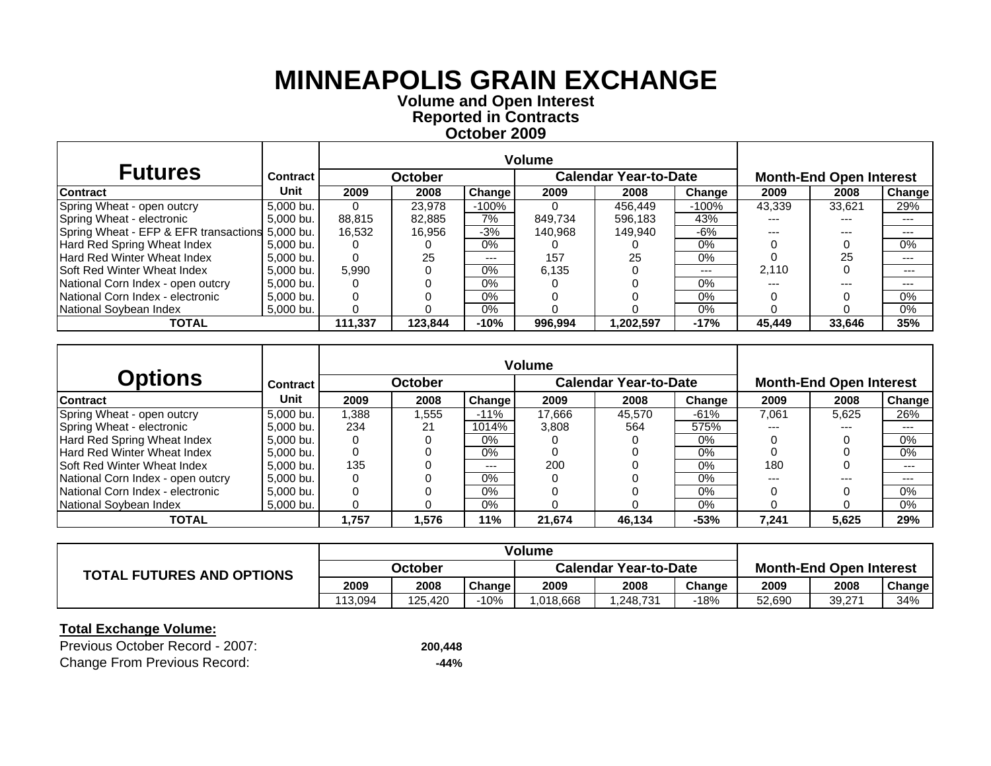**October 2009 Reported in Contracts Volume and Open Interest**

| <b>Futures</b>                                  | <b>Contract</b> |         | <b>October</b> |        | <b>Calendar Year-to-Date</b> |           |         | <b>Month-End Open Interest</b> |        |        |
|-------------------------------------------------|-----------------|---------|----------------|--------|------------------------------|-----------|---------|--------------------------------|--------|--------|
| <b>Contract</b>                                 | Unit            | 2009    | 2008           | Change | 2009                         | 2008      | Change  | 2009                           | 2008   | Change |
| Spring Wheat - open outcry                      | 5,000 bu.       |         | 23.978         | -100%  |                              | 456.449   | $-100%$ | 43,339                         | 33,621 | 29%    |
| Spring Wheat - electronic                       | 5,000 bu.       | 88,815  | 82.885         | 7%     | 849.734                      | 596,183   | 43%     | ---                            | ---    | ---    |
| Spring Wheat - EFP & EFR transactions 5,000 bu. |                 | 16.532  | 16.956         | $-3%$  | 140.968                      | 149.940   | -6%     | ---                            | ---    | ---    |
| Hard Red Spring Wheat Index                     | 5.000 bu.       |         |                | $0\%$  |                              |           | $0\%$   |                                |        | 0%     |
| <b>Hard Red Winter Wheat Index</b>              | 5.000 bu.       |         | 25             | $---$  | 157                          | 25        | $0\%$   |                                | 25     | $---$  |
| <b>Soft Red Winter Wheat Index</b>              | 5.000 bu.       | 5.990   |                | $0\%$  | 6.135                        |           | $--$    | 2.110                          |        | $--$   |
| National Corn Index - open outcry               | 5.000 bu.       |         |                | $0\%$  |                              |           | $0\%$   | ---                            | ---    | $---$  |
| National Corn Index - electronic                | 5,000 bu.       |         |                | 0%     |                              |           | $0\%$   |                                |        | $0\%$  |
| National Sovbean Index                          | 5,000 bu.       |         |                | $0\%$  |                              |           | $0\%$   |                                |        | 0%     |
| <b>TOTAL</b>                                    |                 | 111.337 | 123.844        | $-10%$ | 996.994                      | 1.202.597 | $-17%$  | 45.449                         | 33.646 | 35%    |

|                                    |                 |       |                |        | <b>Volume</b> |                              |        |                                |       |        |  |
|------------------------------------|-----------------|-------|----------------|--------|---------------|------------------------------|--------|--------------------------------|-------|--------|--|
| <b>Options</b>                     | <b>Contract</b> |       | <b>October</b> |        |               | <b>Calendar Year-to-Date</b> |        | <b>Month-End Open Interest</b> |       |        |  |
| <b>Contract</b>                    | Unit            | 2009  | 2008           | Change | 2009          | 2008                         | Change | 2009                           | 2008  | Change |  |
| Spring Wheat - open outcry         | 5.000 bu.       | 1.388 | .555           | $-11%$ | 17.666        | 45.570                       | $-61%$ | 7.061                          | 5.625 | 26%    |  |
| Spring Wheat - electronic          | 5,000 bu.       | 234   | 21             | 1014%  | 3.808         | 564                          | 575%   | ---                            | $---$ | $---$  |  |
| Hard Red Spring Wheat Index        | 5.000 bu.       |       |                | $0\%$  |               |                              | $0\%$  |                                |       | $0\%$  |  |
| Hard Red Winter Wheat Index        | 5.000 bu.       |       |                | $0\%$  |               |                              | 0%     |                                |       | 0%     |  |
| <b>Soft Red Winter Wheat Index</b> | 5.000 bu.       | 135   |                | ---    | 200           |                              | $0\%$  | 180                            |       | ---    |  |
| National Corn Index - open outcry  | 5.000 bu.       |       |                | $0\%$  |               |                              | 0%     | ---                            | $---$ | $--$   |  |
| National Corn Index - electronic   | 5,000 bu.       |       |                | $0\%$  |               |                              | $0\%$  |                                |       | 0%     |  |
| National Soybean Index             | 5.000 bu.       |       |                | $0\%$  |               |                              | $0\%$  |                                |       | 0%     |  |
| <b>TOTAL</b>                       |                 | 1.757 | 1,576          | 11%    | 21,674        | 46,134                       | $-53%$ | 7,241                          | 5,625 | 29%    |  |

|                                  | Volume  |         |        |                              |          |        |                                |        |        |
|----------------------------------|---------|---------|--------|------------------------------|----------|--------|--------------------------------|--------|--------|
| <b>TOTAL FUTURES AND OPTIONS</b> | October |         |        | <b>Calendar Year-to-Date</b> |          |        | <b>Month-End Open Interest</b> |        |        |
|                                  | 2009    | 2008    | Change | 2009                         | 2008     | Change | 2009                           | 2008   | Change |
|                                  | 113.094 | 125.420 | $-10%$ | .018.668                     | .248.731 | -18%   | 52.690                         | 39,271 | 34%    |

| Previous October Record - 2007:     | 200.448 |
|-------------------------------------|---------|
| <b>Change From Previous Record:</b> | -44%    |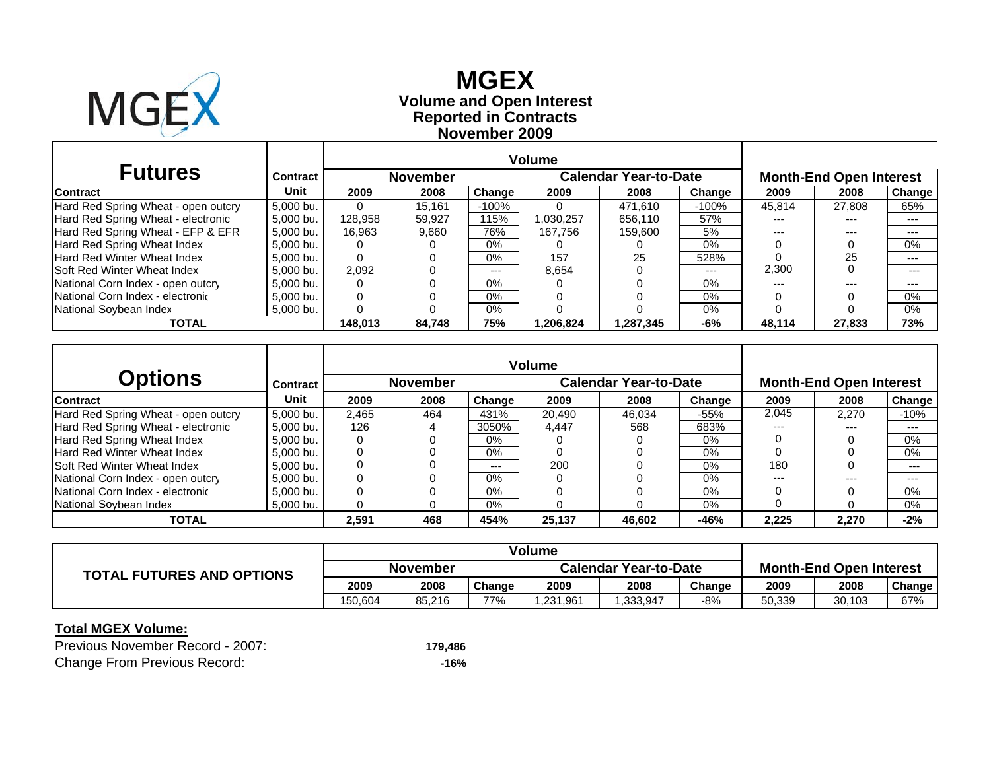

 $\Gamma$ 

### **November 2009 Reported in Contracts Volume and Open Interest MGEX**

| <b>Futures</b>                      | Contract    |         | <b>November</b> |         | <b>Calendar Year-to-Date</b> |           |         | <b>Month-End Open Interest</b> |        |               |
|-------------------------------------|-------------|---------|-----------------|---------|------------------------------|-----------|---------|--------------------------------|--------|---------------|
| <b>Contract</b>                     | Unit        | 2009    | 2008            | Change  | 2009                         | 2008      | Change  | 2009                           | 2008   | <b>Change</b> |
| Hard Red Spring Wheat - open outcry | 5,000 bu.   |         | 15.161          | $-100%$ |                              | 471.610   | $-100%$ | 45,814                         | 27.808 | 65%           |
| Hard Red Spring Wheat - electronic  | 5,000 bu.   | 128,958 | 59.927          | 115%    | 1,030,257                    | 656.110   | 57%     | ---                            | $---$  | $---$         |
| Hard Red Spring Wheat - EFP & EFR   | 5,000 bu.   | 16.963  | 9,660           | 76%     | 167.756                      | 159,600   | 5%      | ---                            | $---$  | ---           |
| Hard Red Spring Wheat Index         | 5,000 bu.   |         |                 | $0\%$   |                              |           | 0%      |                                |        | $0\%$         |
| <b>Hard Red Winter Wheat Index</b>  | $5,000$ bu. |         |                 | $0\%$   | 157                          | 25        | 528%    |                                | 25     | ---           |
| <b>Soft Red Winter Wheat Index</b>  | 5.000 bu.   | 2.092   |                 | $---$   | 8.654                        |           | $---$   | 2,300                          |        | $---$         |
| National Corn Index - open outcry   | 5,000 bu.   |         |                 | 0%      |                              |           | 0%      | ---                            | ---    | $---$         |
| National Corn Index - electronic    | 5,000 bu.   |         |                 | $0\%$   |                              |           | 0%      |                                |        | $0\%$         |
| National Soybean Index              | 5,000 bu.   |         |                 | $0\%$   |                              |           | 0%      |                                |        | $0\%$         |
| <b>TOTAL</b>                        |             | 148.013 | 84.748          | 75%     | 1,206,824                    | 1.287.345 | -6%     | 48.114                         | 27,833 | 73%           |

|                                     |           |       |                 |        | <b>Volume</b> |                              |        |                                |       |        |  |
|-------------------------------------|-----------|-------|-----------------|--------|---------------|------------------------------|--------|--------------------------------|-------|--------|--|
| <b>Options</b>                      | Contract  |       | <b>November</b> |        |               | <b>Calendar Year-to-Date</b> |        | <b>Month-End Open Interest</b> |       |        |  |
| <b>Contract</b>                     | Unit      | 2009  | 2008            | Change | 2009          | 2008                         | Change | 2009                           | 2008  | Change |  |
| Hard Red Spring Wheat - open outcry | 5.000 bu. | 2.465 | 464             | 431%   | 20.490        | 46.034                       | $-55%$ | 2.045                          | 2.270 | $-10%$ |  |
| Hard Red Spring Wheat - electronic  | 5.000 bu. | 126   |                 | 3050%  | 4.447         | 568                          | 683%   | $---$                          | $---$ | $---$  |  |
| Hard Red Spring Wheat Index         | 5,000 bu. |       |                 | $0\%$  |               |                              | $0\%$  |                                |       | 0%     |  |
| <b>Hard Red Winter Wheat Index</b>  | 5.000 bu. |       |                 | $0\%$  |               |                              | 0%     |                                |       | 0%     |  |
| ISoft Red Winter Wheat Index        | 5.000 bu. |       |                 | ---    | 200           |                              | 0%     | 180                            |       | ---    |  |
| National Corn Index - open outcry   | 5.000 bu. |       |                 | $0\%$  |               |                              | 0%     | $---$                          | $---$ | $---$  |  |
| National Corn Index - electronic    | 5.000 bu. |       |                 | $0\%$  |               |                              | 0%     |                                |       | 0%     |  |
| National Sovbean Index              | 5.000 bu. |       |                 | $0\%$  |               |                              | 0%     |                                |       | 0%     |  |
| <b>TOTAL</b>                        |           | 2,591 | 468             | 454%   | 25,137        | 46,602                       | -46%   | 2,225                          | 2,270 | $-2%$  |  |

|                                  | Volume          |        |               |                              |          |        |                                |        |        |
|----------------------------------|-----------------|--------|---------------|------------------------------|----------|--------|--------------------------------|--------|--------|
| <b>TOTAL FUTURES AND OPTIONS</b> | <b>November</b> |        |               | <b>Calendar Year-to-Date</b> |          |        | <b>Month-End Open Interest</b> |        |        |
|                                  | 2009            | 2008   | <b>Change</b> | 2009                         | 2008     | Change | 2009                           | 2008   | Change |
|                                  | 150.604         | 85.216 | 77%           | .231.961                     | .333.947 | $-8%$  | 50.339                         | 30,103 | 67%    |

#### **Total MGEX Volume:**

| Previous November Record - 2007:    | 179.486 |
|-------------------------------------|---------|
| <b>Change From Previous Record:</b> | -16%    |

┐